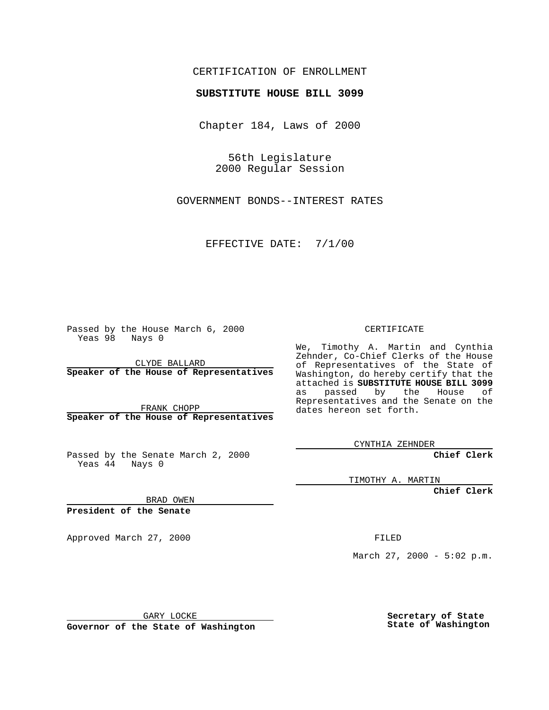## CERTIFICATION OF ENROLLMENT

## **SUBSTITUTE HOUSE BILL 3099**

Chapter 184, Laws of 2000

56th Legislature 2000 Regular Session

GOVERNMENT BONDS--INTEREST RATES

EFFECTIVE DATE: 7/1/00

Passed by the House March 6, 2000 Yeas 98 Nays 0

CLYDE BALLARD **Speaker of the House of Representatives**

FRANK CHOPP **Speaker of the House of Representatives**

Passed by the Senate March 2, 2000 Yeas  $4\overline{4}$  Nays 0

CERTIFICATE

We, Timothy A. Martin and Cynthia Zehnder, Co-Chief Clerks of the House of Representatives of the State of Washington, do hereby certify that the attached is **SUBSTITUTE HOUSE BILL 3099** as passed by the House of Representatives and the Senate on the dates hereon set forth.

CYNTHIA ZEHNDER

**Chief Clerk**

TIMOTHY A. MARTIN

**Chief Clerk**

BRAD OWEN

**President of the Senate**

Approved March 27, 2000 FILED

March 27, 2000 - 5:02 p.m.

GARY LOCKE

**Governor of the State of Washington**

**Secretary of State State of Washington**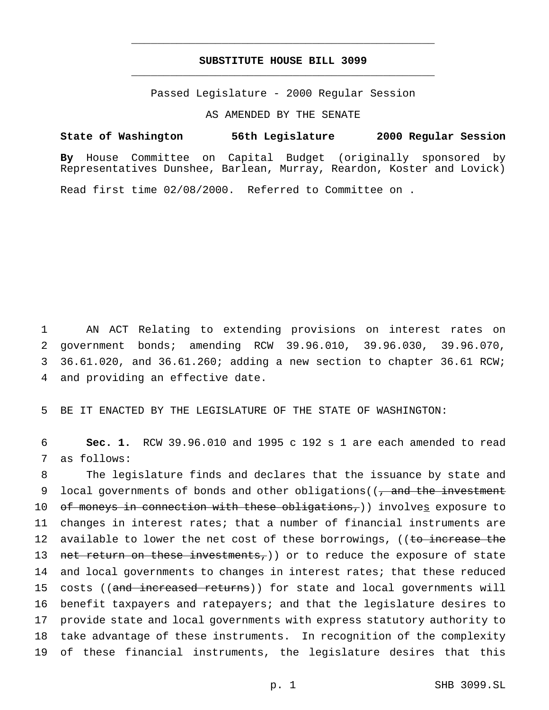## **SUBSTITUTE HOUSE BILL 3099** \_\_\_\_\_\_\_\_\_\_\_\_\_\_\_\_\_\_\_\_\_\_\_\_\_\_\_\_\_\_\_\_\_\_\_\_\_\_\_\_\_\_\_\_\_\_\_

\_\_\_\_\_\_\_\_\_\_\_\_\_\_\_\_\_\_\_\_\_\_\_\_\_\_\_\_\_\_\_\_\_\_\_\_\_\_\_\_\_\_\_\_\_\_\_

Passed Legislature - 2000 Regular Session

AS AMENDED BY THE SENATE

**State of Washington 56th Legislature 2000 Regular Session By** House Committee on Capital Budget (originally sponsored by Representatives Dunshee, Barlean, Murray, Reardon, Koster and Lovick) Read first time 02/08/2000. Referred to Committee on .

 AN ACT Relating to extending provisions on interest rates on government bonds; amending RCW 39.96.010, 39.96.030, 39.96.070, 36.61.020, and 36.61.260; adding a new section to chapter 36.61 RCW; and providing an effective date.

5 BE IT ENACTED BY THE LEGISLATURE OF THE STATE OF WASHINGTON:

6 **Sec. 1.** RCW 39.96.010 and 1995 c 192 s 1 are each amended to read 7 as follows:

8 The legislature finds and declares that the issuance by state and 9 local governments of bonds and other obligations(( $\tau$  and the investment 10 of moneys in connection with these obligations,)) involves exposure to 11 changes in interest rates; that a number of financial instruments are 12 available to lower the net cost of these borrowings, ((to increase the 13 net return on these investments,)) or to reduce the exposure of state 14 and local governments to changes in interest rates; that these reduced 15 costs ((and increased returns)) for state and local governments will 16 benefit taxpayers and ratepayers; and that the legislature desires to 17 provide state and local governments with express statutory authority to 18 take advantage of these instruments. In recognition of the complexity 19 of these financial instruments, the legislature desires that this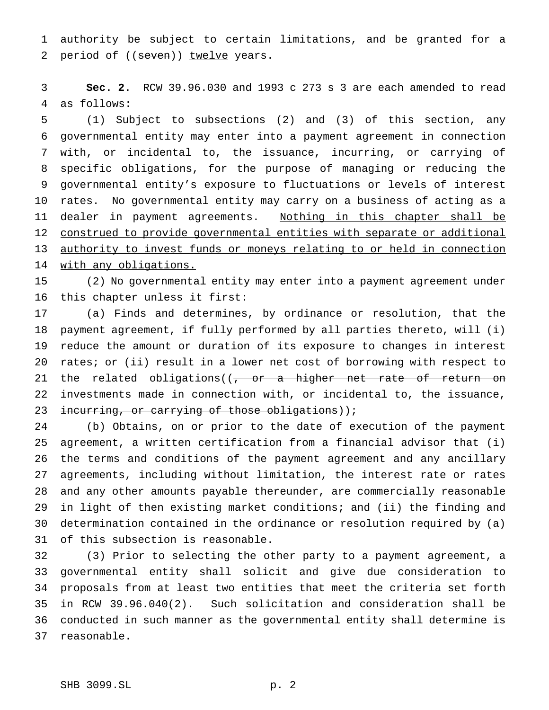authority be subject to certain limitations, and be granted for a 2 period of ((seven)) twelve years.

 **Sec. 2.** RCW 39.96.030 and 1993 c 273 s 3 are each amended to read as follows:

 (1) Subject to subsections (2) and (3) of this section, any governmental entity may enter into a payment agreement in connection with, or incidental to, the issuance, incurring, or carrying of specific obligations, for the purpose of managing or reducing the governmental entity's exposure to fluctuations or levels of interest rates. No governmental entity may carry on a business of acting as a 11 dealer in payment agreements. Nothing in this chapter shall be construed to provide governmental entities with separate or additional 13 authority to invest funds or moneys relating to or held in connection 14 with any obligations.

 (2) No governmental entity may enter into a payment agreement under this chapter unless it first:

 (a) Finds and determines, by ordinance or resolution, that the payment agreement, if fully performed by all parties thereto, will (i) reduce the amount or duration of its exposure to changes in interest rates; or (ii) result in a lower net cost of borrowing with respect to 21 the related obligations( $\sqrt{2}$  or a higher net rate of return on investments made in connection with, or incidental to, the issuance, 23 incurring, or carrying of those obligations));

 (b) Obtains, on or prior to the date of execution of the payment agreement, a written certification from a financial advisor that (i) the terms and conditions of the payment agreement and any ancillary agreements, including without limitation, the interest rate or rates and any other amounts payable thereunder, are commercially reasonable in light of then existing market conditions; and (ii) the finding and determination contained in the ordinance or resolution required by (a) of this subsection is reasonable.

 (3) Prior to selecting the other party to a payment agreement, a governmental entity shall solicit and give due consideration to proposals from at least two entities that meet the criteria set forth in RCW 39.96.040(2). Such solicitation and consideration shall be conducted in such manner as the governmental entity shall determine is reasonable.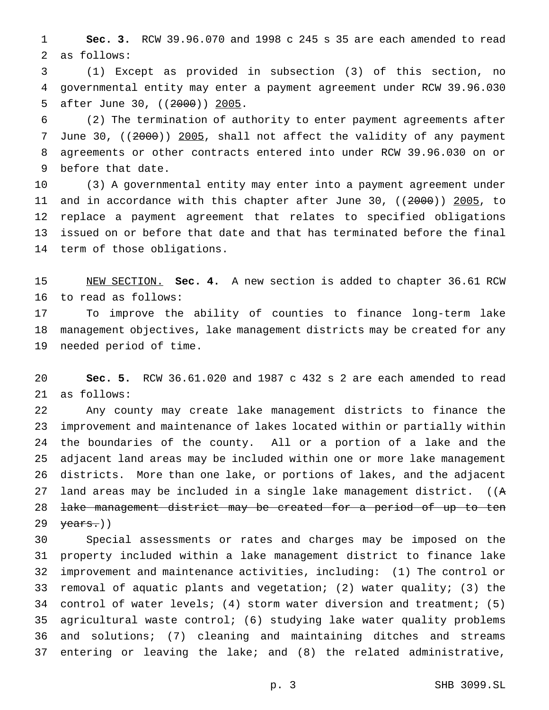**Sec. 3.** RCW 39.96.070 and 1998 c 245 s 35 are each amended to read as follows:

 (1) Except as provided in subsection (3) of this section, no governmental entity may enter a payment agreement under RCW 39.96.030 after June 30, ((2000)) 2005.

 (2) The termination of authority to enter payment agreements after June 30, ((2000)) 2005, shall not affect the validity of any payment agreements or other contracts entered into under RCW 39.96.030 on or before that date.

 (3) A governmental entity may enter into a payment agreement under and in accordance with this chapter after June 30, ((2000)) 2005, to replace a payment agreement that relates to specified obligations issued on or before that date and that has terminated before the final term of those obligations.

 NEW SECTION. **Sec. 4.** A new section is added to chapter 36.61 RCW to read as follows:

 To improve the ability of counties to finance long-term lake management objectives, lake management districts may be created for any needed period of time.

 **Sec. 5.** RCW 36.61.020 and 1987 c 432 s 2 are each amended to read as follows:

 Any county may create lake management districts to finance the improvement and maintenance of lakes located within or partially within the boundaries of the county. All or a portion of a lake and the adjacent land areas may be included within one or more lake management districts. More than one lake, or portions of lakes, and the adjacent land areas may be included in a single lake management district. ((A lake management district may be created for a period of up to ten  $\frac{1}{2}$   $\frac{1}{2}$   $\frac{1}{2}$   $\frac{1}{2}$   $\frac{1}{2}$   $\frac{1}{2}$   $\frac{1}{2}$   $\frac{1}{2}$   $\frac{1}{2}$   $\frac{1}{2}$   $\frac{1}{2}$   $\frac{1}{2}$   $\frac{1}{2}$   $\frac{1}{2}$   $\frac{1}{2}$   $\frac{1}{2}$   $\frac{1}{2}$   $\frac{1}{2}$   $\frac{1}{2}$   $\frac{1}{2}$   $\frac{1}{2}$   $\frac{1}{2}$ 

 Special assessments or rates and charges may be imposed on the property included within a lake management district to finance lake improvement and maintenance activities, including: (1) The control or removal of aquatic plants and vegetation; (2) water quality; (3) the control of water levels; (4) storm water diversion and treatment; (5) agricultural waste control; (6) studying lake water quality problems and solutions; (7) cleaning and maintaining ditches and streams entering or leaving the lake; and (8) the related administrative,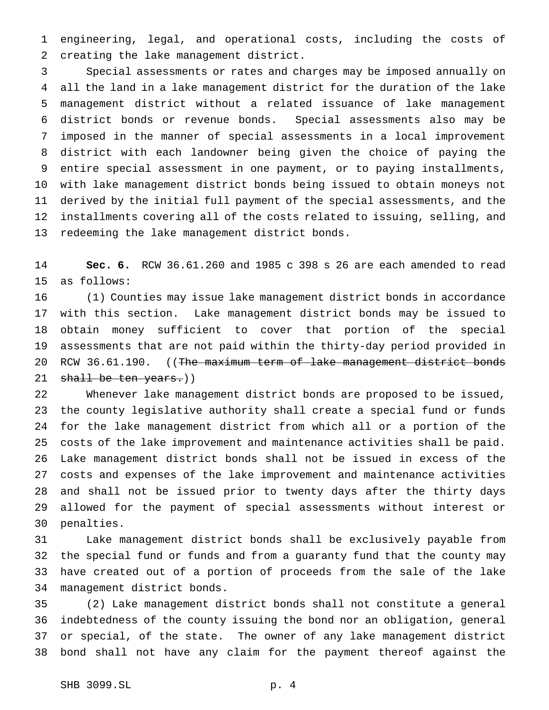engineering, legal, and operational costs, including the costs of creating the lake management district.

 Special assessments or rates and charges may be imposed annually on all the land in a lake management district for the duration of the lake management district without a related issuance of lake management district bonds or revenue bonds. Special assessments also may be imposed in the manner of special assessments in a local improvement district with each landowner being given the choice of paying the entire special assessment in one payment, or to paying installments, with lake management district bonds being issued to obtain moneys not derived by the initial full payment of the special assessments, and the installments covering all of the costs related to issuing, selling, and redeeming the lake management district bonds.

 **Sec. 6.** RCW 36.61.260 and 1985 c 398 s 26 are each amended to read as follows:

 (1) Counties may issue lake management district bonds in accordance with this section. Lake management district bonds may be issued to obtain money sufficient to cover that portion of the special assessments that are not paid within the thirty-day period provided in 20 RCW 36.61.190. ((The maximum term of lake management district bonds 21 shall be ten years.))

 Whenever lake management district bonds are proposed to be issued, the county legislative authority shall create a special fund or funds for the lake management district from which all or a portion of the costs of the lake improvement and maintenance activities shall be paid. Lake management district bonds shall not be issued in excess of the costs and expenses of the lake improvement and maintenance activities and shall not be issued prior to twenty days after the thirty days allowed for the payment of special assessments without interest or penalties.

 Lake management district bonds shall be exclusively payable from the special fund or funds and from a guaranty fund that the county may have created out of a portion of proceeds from the sale of the lake management district bonds.

 (2) Lake management district bonds shall not constitute a general indebtedness of the county issuing the bond nor an obligation, general or special, of the state. The owner of any lake management district bond shall not have any claim for the payment thereof against the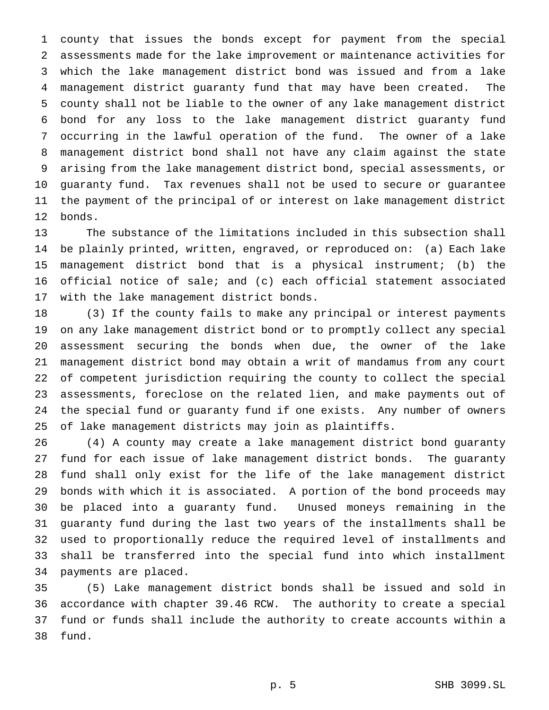county that issues the bonds except for payment from the special assessments made for the lake improvement or maintenance activities for which the lake management district bond was issued and from a lake management district guaranty fund that may have been created. The county shall not be liable to the owner of any lake management district bond for any loss to the lake management district guaranty fund occurring in the lawful operation of the fund. The owner of a lake management district bond shall not have any claim against the state arising from the lake management district bond, special assessments, or guaranty fund. Tax revenues shall not be used to secure or guarantee the payment of the principal of or interest on lake management district bonds.

 The substance of the limitations included in this subsection shall be plainly printed, written, engraved, or reproduced on: (a) Each lake management district bond that is a physical instrument; (b) the official notice of sale; and (c) each official statement associated with the lake management district bonds.

 (3) If the county fails to make any principal or interest payments on any lake management district bond or to promptly collect any special assessment securing the bonds when due, the owner of the lake management district bond may obtain a writ of mandamus from any court of competent jurisdiction requiring the county to collect the special assessments, foreclose on the related lien, and make payments out of the special fund or guaranty fund if one exists. Any number of owners of lake management districts may join as plaintiffs.

 (4) A county may create a lake management district bond guaranty fund for each issue of lake management district bonds. The guaranty fund shall only exist for the life of the lake management district bonds with which it is associated. A portion of the bond proceeds may be placed into a guaranty fund. Unused moneys remaining in the guaranty fund during the last two years of the installments shall be used to proportionally reduce the required level of installments and shall be transferred into the special fund into which installment payments are placed.

 (5) Lake management district bonds shall be issued and sold in accordance with chapter 39.46 RCW. The authority to create a special fund or funds shall include the authority to create accounts within a fund.